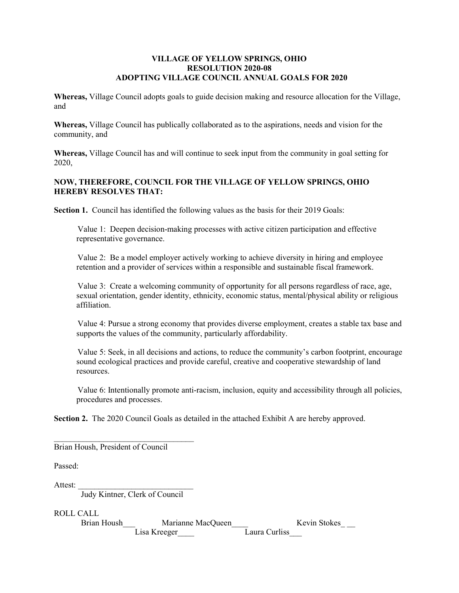## VILLAGE OF YELLOW SPRINGS, OHIO RESOLUTION 2020-08 ADOPTING VILLAGE COUNCIL ANNUAL GOALS FOR 2020

Whereas, Village Council adopts goals to guide decision making and resource allocation for the Village, and

Whereas, Village Council has publically collaborated as to the aspirations, needs and vision for the community, and

Whereas, Village Council has and will continue to seek input from the community in goal setting for 2020,

# NOW, THEREFORE, COUNCIL FOR THE VILLAGE OF YELLOW SPRINGS, OHIO HEREBY RESOLVES THAT:

Section 1. Council has identified the following values as the basis for their 2019 Goals:

Value 1: Deepen decision-making processes with active citizen participation and effective representative governance.

Value 2: Be a model employer actively working to achieve diversity in hiring and employee retention and a provider of services within a responsible and sustainable fiscal framework.

Value 3: Create a welcoming community of opportunity for all persons regardless of race, age, sexual orientation, gender identity, ethnicity, economic status, mental/physical ability or religious affiliation.

Value 4: Pursue a strong economy that provides diverse employment, creates a stable tax base and supports the values of the community, particularly affordability.

Value 5: Seek, in all decisions and actions, to reduce the community's carbon footprint, encourage sound ecological practices and provide careful, creative and cooperative stewardship of land resources.

Value 6: Intentionally promote anti-racism, inclusion, equity and accessibility through all policies, procedures and processes.

Section 2. The 2020 Council Goals as detailed in the attached Exhibit A are hereby approved.

| Brian Housh, President of Council                    |              |
|------------------------------------------------------|--------------|
| Passed:                                              |              |
| Attest:<br>Judy Kintner, Clerk of Council            |              |
| ROLL CALL<br><b>Brian Housh</b><br>Marianne MacQueen | Kevin Stokes |
| Laura Curliss<br>Lisa Kreeger                        |              |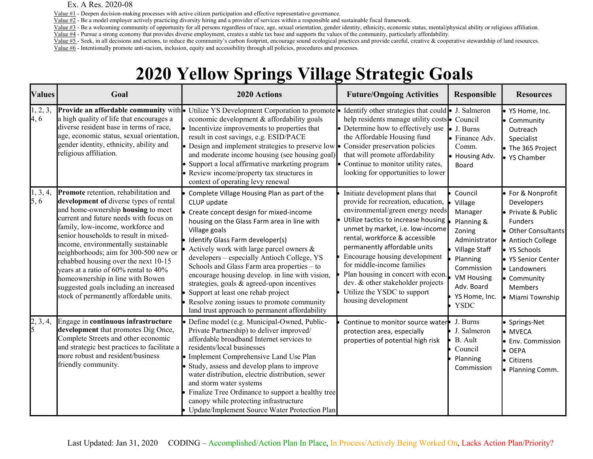### Ex. A Res. 2020-08

Value #1 - Deepen decision-making processes with active citizen participation and effective representative governance.

Value #2 - Be a model employer actively practicing diversity hiring and a provider of services within a responsible and sustainable fiscal framework.

Value #3 - Be a welcoming community of opportunity for all persons regardless of race, age, sexual orientation, gender identity, ethnicity, economic status, mental/physical ability or religious affiliation. Value #4 - Pursue a strong economy that provides diverse employment, creates a stable tax base and supports the values of the community, particularly affordability.

Value #5 - Seek, in all decisions and actions, to reduce the community's carbon footprint, encourage sound ecological practices and provide careful, creative & cooperative stewardship of land resources. Value #6 - Intentionally promote anti-racism, inclusion, equity and accessibility through all policies, procedures and processes.

# 2020 Yellow Springs Village Strategic Goals

| <b>Values</b>    | Goal                                                                                                                                                                                                                                                                                                                                                                                                                                                                                                                                          | 2020 Actions                                                                                                                                                                                                                                                                                                                                                                                                                                                                                                                                                                               | <b>Future/Ongoing Activities</b>                                                                                                                                                                                                                                                                                                                                                                                                                       | Responsible                                                                                                                                                                          | <b>Resources</b>                                                                                                                                                                                                        |
|------------------|-----------------------------------------------------------------------------------------------------------------------------------------------------------------------------------------------------------------------------------------------------------------------------------------------------------------------------------------------------------------------------------------------------------------------------------------------------------------------------------------------------------------------------------------------|--------------------------------------------------------------------------------------------------------------------------------------------------------------------------------------------------------------------------------------------------------------------------------------------------------------------------------------------------------------------------------------------------------------------------------------------------------------------------------------------------------------------------------------------------------------------------------------------|--------------------------------------------------------------------------------------------------------------------------------------------------------------------------------------------------------------------------------------------------------------------------------------------------------------------------------------------------------------------------------------------------------------------------------------------------------|--------------------------------------------------------------------------------------------------------------------------------------------------------------------------------------|-------------------------------------------------------------------------------------------------------------------------------------------------------------------------------------------------------------------------|
| 1, 2, 3,<br>4, 6 | a high quality of life that encourages a<br>diverse resident base in terms of race,<br>age, economic status, sexual orientation,<br>gender identity, ethnicity, ability and<br>religious affiliation.                                                                                                                                                                                                                                                                                                                                         | Provide an affordable community with • Utilize YS Development Corporation to promote • Identify other strategies that could • J. Salmeron<br>economic development & affordability goals<br>Incentivize improvements to properties that<br>result in cost savings, e.g. ESID/PACE<br>• Design and implement strategies to preserve low • Consider preservation policies<br>and moderate income housing (see housing goal)<br>Support a local affirmative marketing program<br>Review income/property tax structures in<br>context of operating levy renewal                                 | help residents manage utility costs • Council<br>• Determine how to effectively use<br>the Affordable Housing fund<br>that will promote affordability<br>• Continue to monitor utility rates,<br>looking for opportunities to lower                                                                                                                                                                                                                    | $\bullet$ J. Burns<br>• Finance Adv.<br>Comm.<br>· Housing Adv.<br>Board                                                                                                             | · YS Home, Inc.<br>• Community<br>Outreach<br>Specialist<br>• The 365 Project<br>• YS Chamber                                                                                                                           |
| 1, 3, 4,<br>5, 6 | <b>Promote</b> retention, rehabilitation and<br>development of diverse types of rental<br>and home-ownership housing to meet<br>current and future needs with focus on<br>family, low-income, workforce and<br>senior households to result in mixed-<br>income, environmentally sustainable<br>neighborhoods; aim for 300-500 new or<br>rehabbed housing over the next 10-15<br>years at a ratio of 60% rental to 40%<br>homeownership in line with Bowen<br>suggested goals including an increased<br>stock of permanently affordable units. | Complete Village Housing Plan as part of the<br>CLUP update<br>Create concept design for mixed-income<br>housing on the Glass Farm area in line with<br>Village goals<br>Identify Glass Farm developer(s)<br>Actively work with large parcel owners &<br>developers - especially Antioch College, YS<br>Schools and Glass Farm area properties - to<br>encourage housing develop. in line with vision,<br>strategies, goals & agreed-upon incentives<br>Support at least one rehab project<br>Resolve zoning issues to promote community<br>land trust approach to permanent affordability | Initiate development plans that<br>provide for recreation, education,<br>environmental/green energy needs<br>Utilize tactics to increase housing<br>unmet by market, i.e. low-income<br>rental, workforce & accessible<br>permanently affordable units<br>Encourage housing development<br>for middle-income families<br>Plan housing in concert with econ.<br>dev. & other stakeholder projects<br>Utilize the YSDC to support<br>housing development | Council<br>Village<br>Manager<br>Planning &<br>Zoning<br>Administrator<br>Village Staff<br>Planning<br>Commission<br><b>VM Housing</b><br>Adv. Board<br>YS Home, Inc.<br><b>YSDC</b> | ● For & Nonprofit<br>Developers<br>· Private & Public<br><b>Funders</b><br>• Other Consultants<br>• Antioch College<br>● YS Schools<br>• YS Senior Center<br>• Landowners<br>• Community<br>Members<br>· Miami Township |
| 2, 3, 4,         | Engage in continuous infrastructure<br>development that promotes Dig Once,<br>Complete Streets and other economic<br>and strategic best practices to facilitate a<br>more robust and resident/business<br>friendly community.                                                                                                                                                                                                                                                                                                                 | Define model (e.g. Municipal-Owned, Public-<br>Private Partnership) to deliver improved/<br>affordable broadband Internet services to<br>residents/local businesses<br>• Implement Comprehensive Land Use Plan<br>• Study, assess and develop plans to improve<br>water distribution, electric distribution, sewer<br>and storm water systems<br>Finalize Tree Ordinance to support a healthy tree<br>canopy while protecting infrastructure<br>Update/Implement Source Water Protection Plan                                                                                              | Continue to monitor source water<br>protection area, especially<br>properties of potential high risk                                                                                                                                                                                                                                                                                                                                                   | J. Burns<br>J. Salmeron<br>B. Ault<br>Council<br>Planning<br>Commission                                                                                                              | · Springs-Net<br>• MVECA<br>· Env. Commission<br>• OEPA<br>• Citizens<br>• Planning Comm.                                                                                                                               |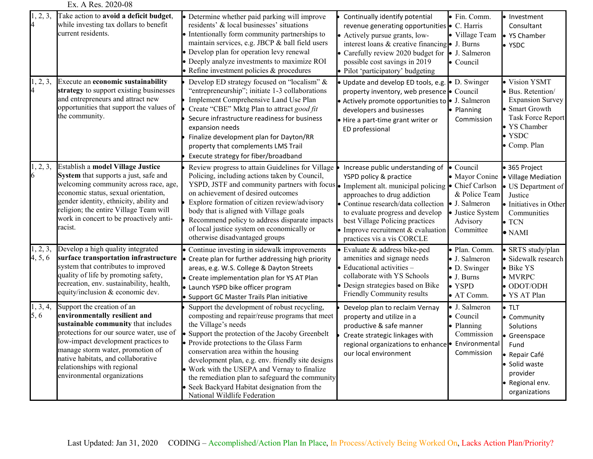### Ex. A Res. 2020-08

| 1, 2, 3,<br>4              | Take action to avoid a deficit budget,<br>while investing tax dollars to benefit<br>current residents.                                                                                                                                                                                                                        | • Determine whether paid parking will improve<br>residents' & local businesses' situations<br>• Intentionally form community partnerships to<br>maintain services, e.g. JBCP & ball field users<br>· Develop plan for operation levy renewal<br>Deeply analyze investments to maximize ROI<br>$\bullet$ Refine investment policies & procedures                                                                                                                                                | Continually identify potential<br>revenue generating opportunities • C. Harris<br>• Actively pursue grants, low-<br>interest loans & creative financing $\bullet$ J. Burns<br>• Carefully review 2020 budget for<br>possible cost savings in 2019<br>· Pilot 'participatory' budgeting                                          | · Fin. Comm.<br>· Village Team<br>• J. Salmeron<br>• Council                                               | Investment<br>Consultant<br>YS Chamber<br>YSDC                                                                                                   |
|----------------------------|-------------------------------------------------------------------------------------------------------------------------------------------------------------------------------------------------------------------------------------------------------------------------------------------------------------------------------|------------------------------------------------------------------------------------------------------------------------------------------------------------------------------------------------------------------------------------------------------------------------------------------------------------------------------------------------------------------------------------------------------------------------------------------------------------------------------------------------|---------------------------------------------------------------------------------------------------------------------------------------------------------------------------------------------------------------------------------------------------------------------------------------------------------------------------------|------------------------------------------------------------------------------------------------------------|--------------------------------------------------------------------------------------------------------------------------------------------------|
| 1, 2, 3,<br>$\overline{4}$ | Execute an economic sustainability<br>strategy to support existing businesses<br>and entrepreneurs and attract new<br>opportunities that support the values of<br>the community.                                                                                                                                              | Develop ED strategy focused on "localism" &<br>"entrepreneurship"; initiate 1-3 collaborations<br>Implement Comprehensive Land Use Plan<br>Create "CBE" Mktg Plan to attract good fit<br>Secure infrastructure readiness for business<br>expansion needs<br>Finalize development plan for Dayton/RR<br>property that complements LMS Trail<br>Execute strategy for fiber/broadband                                                                                                             | · Update and develop ED tools, e.g.<br>property inventory, web presence • Council<br>• Actively promote opportunities to $\bullet$ J. Salmeron<br>developers and businesses<br>· Hire a part-time grant writer or<br>ED professional                                                                                            | • D. Swinger<br>· Planning<br>Commission                                                                   | Vision YSMT<br>Bus. Retention/<br>Expansion Survey<br>Smart Growth<br>Task Force Report<br>YS Chamber<br><b>YSDC</b><br>· Comp. Plan             |
| 1, 2, 3,<br>6              | Establish a model Village Justice<br>System that supports a just, safe and<br>welcoming community across race, age,<br>economic status, sexual orientation,<br>gender identity, ethnicity, ability and<br>religion; the entire Village Team will<br>work in concert to be proactively anti-<br>racist.                        | Review progress to attain Guidelines for Village<br>Policing, including actions taken by Council,<br>YSPD, JSTF and community partners with focus<br>on achievement of desired outcomes<br>Explore formation of citizen review/advisory<br>body that is aligned with Village goals<br>Recommend policy to address disparate impacts<br>of local justice system on economically or<br>otherwise disadvantaged groups                                                                            | Increase public understanding of<br>YSPD policy & practice<br>Implement alt. municipal policing • Chief Carlson<br>approaches to drug addiction<br>· Continue research/data collection<br>to evaluate progress and develop<br>best Village Policing practices<br>Improve recruitment & evaluation<br>practices vis a vis CORCLE | · Council<br>• Mayor Conine<br>& Police Team<br>• J. Salmeron<br>· Justice System<br>Advisory<br>Committee | 365 Project<br>· Village Mediation<br>US Department of<br>Justice<br>Initiatives in Other<br>Communities<br>$\bullet$ TCN<br>$\bullet$ NAMI      |
| 1, 2, 3,<br>4, 5, 6        | Develop a high quality integrated<br>surface transportation infrastructure<br>system that contributes to improved<br>quality of life by promoting safety,<br>recreation, env. sustainability, health,<br>equity/inclusion & economic dev.                                                                                     | • Continue investing in sidewalk improvements<br>• Create plan for further addressing high priority<br>areas, e.g. W.S. College & Dayton Streets<br>• Create implementation plan for YS AT Plan<br>· Launch YSPD bike officer program<br>Support GC Master Trails Plan initiative                                                                                                                                                                                                              | • Evaluate & address bike-ped<br>amenities and signage needs<br>$\bullet$ Educational activities –<br>collaborate with YS Schools<br>· Design strategies based on Bike<br>Friendly Community results                                                                                                                            | · Plan. Comm.<br>• J. Salmeron<br>· D. Swinger<br>$\bullet$ J. Burns<br>$\bullet$ YSPD<br>• AT Comm.       | SRTS study/plan<br>· Sidewalk research<br>· Bike YS<br>$\bullet$ MVRPC<br>· ODOT/ODH<br>· YS AT Plan                                             |
| 1, 3, 4,<br>5, 6           | Support the creation of an<br>environmentally resilient and<br>sustainable community that includes<br>protections for our source water, use of<br>low-impact development practices to<br>manage storm water, promotion of<br>native habitats, and collaborative<br>relationships with regional<br>environmental organizations | Support the development of robust recycling,<br>composting and repair/reuse programs that meet<br>the Village's needs<br>Support the protection of the Jacoby Greenbelt<br>• Provide protections to the Glass Farm<br>conservation area within the housing<br>development plan, e.g. env. friendly site designs<br>Work with the USEPA and Vernay to finalize<br>the remediation plan to safeguard the community<br>Seek Backyard Habitat designation from the<br>National Wildlife Federation | Develop plan to reclaim Vernay<br>property and utilize in a<br>productive & safe manner<br>Create strategic linkages with<br>regional organizations to enhance · Environmental<br>our local environment                                                                                                                         | • J. Salmeron<br>• Council<br>· Planning<br>Commission<br>Commission                                       | $\blacksquare$ TLT<br>· Community<br>Solutions<br>Greenspace<br>Fund<br>Repair Café<br>Solid waste<br>provider<br>Regional env.<br>organizations |